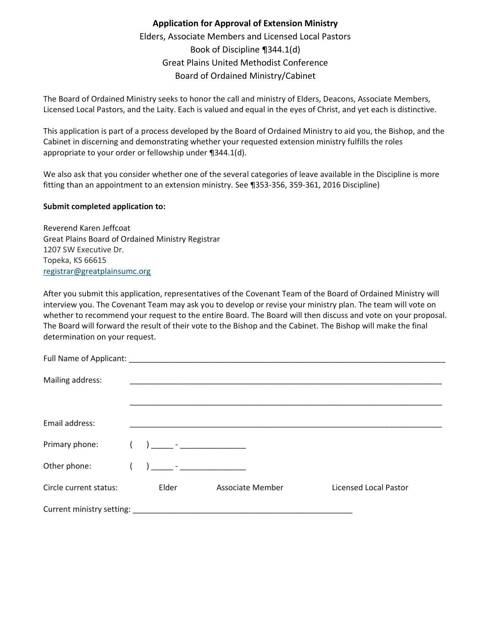## **Application for Approval of Extension Ministry** Elders, Associate Members and Licensed Local Pastors Book of Discipline ¶344.1(d) Great Plains United Methodist Conference Board of Ordained Ministry/Cabinet

The Board of Ordained Ministry seeks to honor the call and ministry of Elders, Deacons, Associate Members, Licensed Local Pastors, and the Laity. Each is valued and equal in the eyes of Christ, and yet each is distinctive.

This application is part of a process developed by the Board of Ordained Ministry to aid you, the Bishop, and the Cabinet in discerning and demonstrating whether your requested extension ministry fulfills the roles appropriate to your order or fellowship under ¶344.1(d).

We also ask that you consider whether one of the several categories of leave available in the Discipline is more fitting than an appointment to an extension ministry. See ¶353-356, 359-361, 2016 Discipline)

## **Submit completed application to:**

Reverend Karen Jeffcoat Great Plains Board of Ordained Ministry Registrar 1207 SW Executive Dr. Topeka, KS 66615 [registrar@greatplainsumc.org](https://www.greatplainsumc.org/clergyexcellencestaff)

After you submit this application, representatives of the Covenant Team of the Board of Ordained Ministry will interview you. The Covenant Team may ask you to develop or revise your ministry plan. The team will vote on whether to recommend your request to the entire Board. The Board will then discuss and vote on your proposal. The Board will forward the result of their vote to the Bishop and the Cabinet. The Bishop will make the final determination on your request.

| Mailing address:       |                                |                                                 |                              |
|------------------------|--------------------------------|-------------------------------------------------|------------------------------|
|                        |                                |                                                 |                              |
|                        |                                |                                                 |                              |
|                        |                                |                                                 |                              |
| Email address:         |                                |                                                 |                              |
|                        |                                |                                                 |                              |
| Primary phone:         | ) _____ - ____________________ |                                                 |                              |
|                        |                                |                                                 |                              |
| Other phone:           |                                | the contract of the contract of the contract of |                              |
|                        |                                |                                                 |                              |
| Circle current status: | Elder                          | Associate Member                                | <b>Licensed Local Pastor</b> |
|                        |                                |                                                 |                              |
|                        |                                |                                                 |                              |